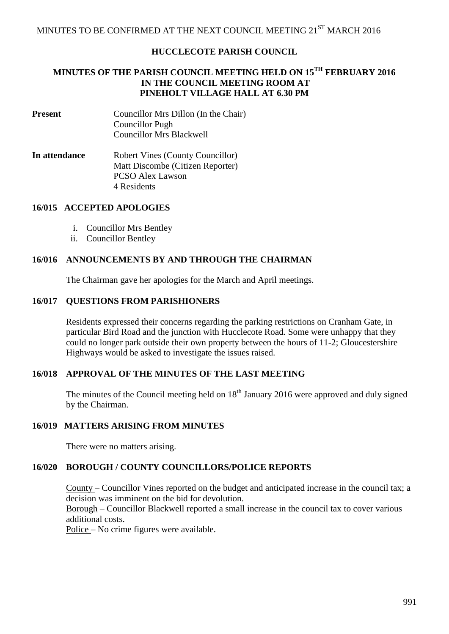# **HUCCLECOTE PARISH COUNCIL**

# **MINUTES OF THE PARISH COUNCIL MEETING HELD ON 15 TH FEBRUARY 2016 IN THE COUNCIL MEETING ROOM AT PINEHOLT VILLAGE HALL AT 6.30 PM**

- **Present** Councillor Mrs Dillon (In the Chair) Councillor Pugh Councillor Mrs Blackwell
- **In attendance** Robert Vines (County Councillor) Matt Discombe (Citizen Reporter) PCSO Alex Lawson 4 Residents

#### **16/015 ACCEPTED APOLOGIES**

- i. Councillor Mrs Bentley
- ii. Councillor Bentley

# **16/016 ANNOUNCEMENTS BY AND THROUGH THE CHAIRMAN**

The Chairman gave her apologies for the March and April meetings.

# **16/017 QUESTIONS FROM PARISHIONERS**

Residents expressed their concerns regarding the parking restrictions on Cranham Gate, in particular Bird Road and the junction with Hucclecote Road. Some were unhappy that they could no longer park outside their own property between the hours of 11-2; Gloucestershire Highways would be asked to investigate the issues raised.

#### **16/018 APPROVAL OF THE MINUTES OF THE LAST MEETING**

The minutes of the Council meeting held on  $18<sup>th</sup>$  January 2016 were approved and duly signed by the Chairman.

#### **16/019 MATTERS ARISING FROM MINUTES**

There were no matters arising.

# **16/020 BOROUGH / COUNTY COUNCILLORS/POLICE REPORTS**

County – Councillor Vines reported on the budget and anticipated increase in the council tax; a decision was imminent on the bid for devolution.

Borough – Councillor Blackwell reported a small increase in the council tax to cover various additional costs.

Police – No crime figures were available.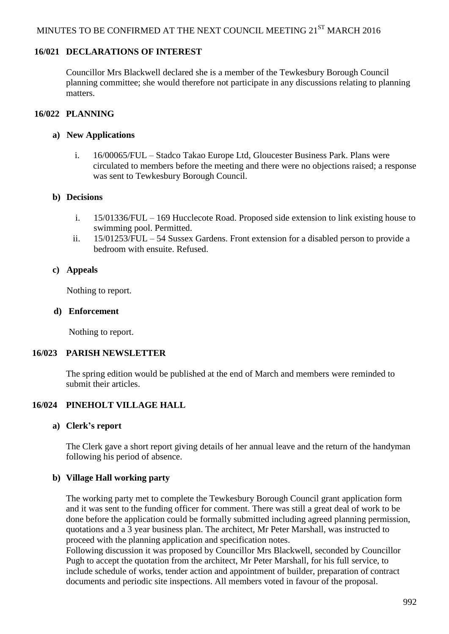### **16/021 DECLARATIONS OF INTEREST**

Councillor Mrs Blackwell declared she is a member of the Tewkesbury Borough Council planning committee; she would therefore not participate in any discussions relating to planning matters.

# **16/022 PLANNING**

#### **a) New Applications**

i. 16/00065/FUL – Stadco Takao Europe Ltd, Gloucester Business Park. Plans were circulated to members before the meeting and there were no objections raised; a response was sent to Tewkesbury Borough Council.

#### **b) Decisions**

- i. 15/01336/FUL 169 Hucclecote Road. Proposed side extension to link existing house to swimming pool. Permitted.
- ii. 15/01253/FUL 54 Sussex Gardens. Front extension for a disabled person to provide a bedroom with ensuite. Refused.

#### **c) Appeals**

Nothing to report.

#### **d) Enforcement**

Nothing to report.

#### **16/023 PARISH NEWSLETTER**

 The spring edition would be published at the end of March and members were reminded to submit their articles.

# **16/024 PINEHOLT VILLAGE HALL**

#### **a) Clerk's report**

The Clerk gave a short report giving details of her annual leave and the return of the handyman following his period of absence.

#### **b) Village Hall working party**

The working party met to complete the Tewkesbury Borough Council grant application form and it was sent to the funding officer for comment. There was still a great deal of work to be done before the application could be formally submitted including agreed planning permission, quotations and a 3 year business plan. The architect, Mr Peter Marshall, was instructed to proceed with the planning application and specification notes.

Following discussion it was proposed by Councillor Mrs Blackwell, seconded by Councillor Pugh to accept the quotation from the architect, Mr Peter Marshall, for his full service, to include schedule of works, tender action and appointment of builder, preparation of contract documents and periodic site inspections. All members voted in favour of the proposal.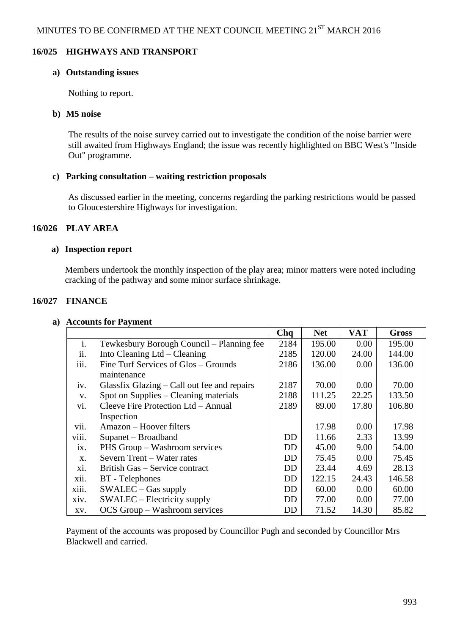# **16/025 HIGHWAYS AND TRANSPORT**

#### **a) Outstanding issues**

Nothing to report.

# **b) M5 noise**

The results of the noise survey carried out to investigate the condition of the noise barrier were still awaited from Highways England; the issue was recently highlighted on BBC West's "Inside Out" programme.

# **c) Parking consultation – waiting restriction proposals**

As discussed earlier in the meeting, concerns regarding the parking restrictions would be passed to Gloucestershire Highways for investigation.

# **16/026 PLAY AREA**

# **a) Inspection report**

Members undertook the monthly inspection of the play area; minor matters were noted including cracking of the pathway and some minor surface shrinkage.

# **16/027 FINANCE**

|       |                                             | Chq       | <b>Net</b> | <b>VAT</b> | <b>Gross</b> |
|-------|---------------------------------------------|-----------|------------|------------|--------------|
| i.    | Tewkesbury Borough Council - Planning fee   | 2184      | 195.00     | 0.00       | 195.00       |
| ii.   | Into Cleaning $Ltd$ – Cleaning              | 2185      | 120.00     | 24.00      | 144.00       |
| iii.  | Fine Turf Services of Glos - Grounds        | 2186      | 136.00     | 0.00       | 136.00       |
|       | maintenance                                 |           |            |            |              |
| iv.   | Glassfix Glazing – Call out fee and repairs | 2187      | 70.00      | 0.00       | 70.00        |
| V.    | Spot on Supplies – Cleaning materials       | 2188      | 111.25     | 22.25      | 133.50       |
| vi.   | Cleeve Fire Protection Ltd - Annual         | 2189      | 89.00      | 17.80      | 106.80       |
|       | Inspection                                  |           |            |            |              |
| vii.  | Amazon – Hoover filters                     |           | 17.98      | 0.00       | 17.98        |
| viii. | Supanet – Broadband                         | DD        | 11.66      | 2.33       | 13.99        |
| ix.   | PHS Group – Washroom services               | DD        | 45.00      | 9.00       | 54.00        |
| X.    | Severn Trent - Water rates                  | <b>DD</b> | 75.45      | 0.00       | 75.45        |
| xi.   | British Gas – Service contract              | DD        | 23.44      | 4.69       | 28.13        |
| xii.  | <b>BT</b> - Telephones                      | DD        | 122.15     | 24.43      | 146.58       |
| xiii. | $SWALEC - Gas$ supply                       | DD        | 60.00      | 0.00       | 60.00        |
| xiv.  | SWALEC – Electricity supply                 | DD        | 77.00      | 0.00       | 77.00        |
| XV.   | OCS Group – Washroom services               | DD        | 71.52      | 14.30      | 85.82        |

#### **a) Accounts for Payment**

Payment of the accounts was proposed by Councillor Pugh and seconded by Councillor Mrs Blackwell and carried.